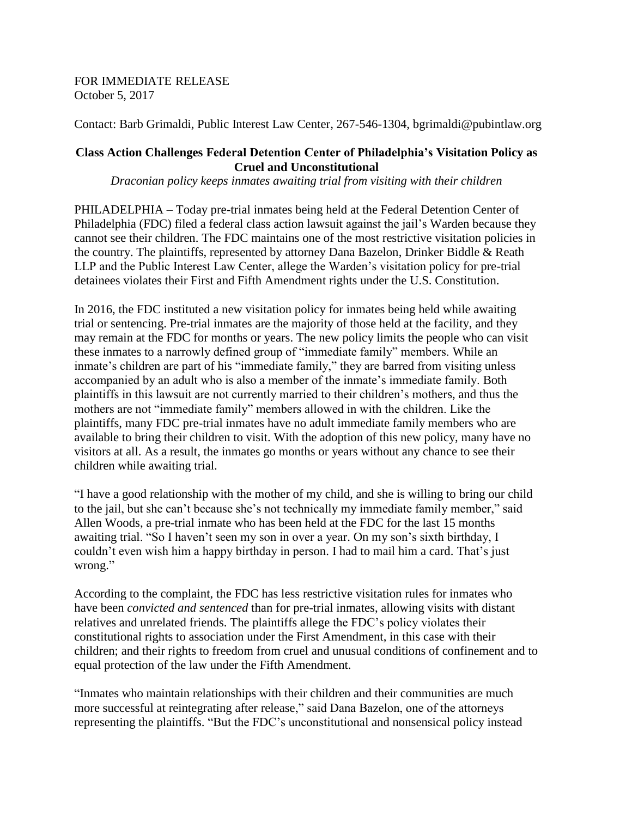## FOR IMMEDIATE RELEASE October 5, 2017

Contact: Barb Grimaldi, Public Interest Law Center, 267-546-1304, bgrimaldi@pubintlaw.org

## **Class Action Challenges Federal Detention Center of Philadelphia's Visitation Policy as Cruel and Unconstitutional**

*Draconian policy keeps inmates awaiting trial from visiting with their children*

PHILADELPHIA – Today pre-trial inmates being held at the Federal Detention Center of Philadelphia (FDC) filed a federal class action lawsuit against the jail's Warden because they cannot see their children. The FDC maintains one of the most restrictive visitation policies in the country. The plaintiffs, represented by attorney Dana Bazelon, Drinker Biddle & Reath LLP and the Public Interest Law Center, allege the Warden's visitation policy for pre-trial detainees violates their First and Fifth Amendment rights under the U.S. Constitution.

In 2016, the FDC instituted a new visitation policy for inmates being held while awaiting trial or sentencing. Pre-trial inmates are the majority of those held at the facility, and they may remain at the FDC for months or years. The new policy limits the people who can visit these inmates to a narrowly defined group of "immediate family" members. While an inmate's children are part of his "immediate family," they are barred from visiting unless accompanied by an adult who is also a member of the inmate's immediate family. Both plaintiffs in this lawsuit are not currently married to their children's mothers, and thus the mothers are not "immediate family" members allowed in with the children. Like the plaintiffs, many FDC pre-trial inmates have no adult immediate family members who are available to bring their children to visit. With the adoption of this new policy, many have no visitors at all. As a result, the inmates go months or years without any chance to see their children while awaiting trial.

"I have a good relationship with the mother of my child, and she is willing to bring our child to the jail, but she can't because she's not technically my immediate family member," said Allen Woods, a pre-trial inmate who has been held at the FDC for the last 15 months awaiting trial. "So I haven't seen my son in over a year. On my son's sixth birthday, I couldn't even wish him a happy birthday in person. I had to mail him a card. That's just wrong."

According to the complaint, the FDC has less restrictive visitation rules for inmates who have been *convicted and sentenced* than for pre-trial inmates, allowing visits with distant relatives and unrelated friends. The plaintiffs allege the FDC's policy violates their constitutional rights to association under the First Amendment, in this case with their children; and their rights to freedom from cruel and unusual conditions of confinement and to equal protection of the law under the Fifth Amendment.

"Inmates who maintain relationships with their children and their communities are much more successful at reintegrating after release," said Dana Bazelon, one of the attorneys representing the plaintiffs. "But the FDC's unconstitutional and nonsensical policy instead